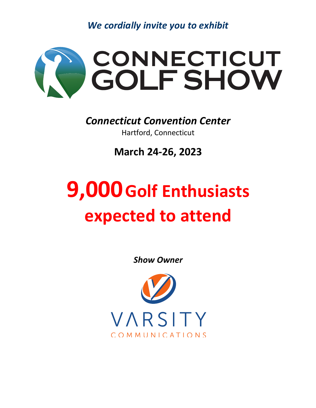*We cordially invite you to exhibit*



*Connecticut Convention Center*  Hartford, Connecticut

**March 24-26, 2023**

## **9,000Golf Enthusiasts expected to attend**

*Show Owner*

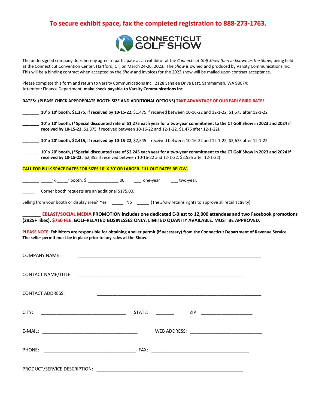## **To secure exhibit space, fax the completed registration to 888-273-1763.**



The undersigned company does hereby agree to participate as an exhibitor at the *Connecticut Golf Show (herein known as the Show)* being held at the Connecticut Convention Center, Hartford, CT, on March 24-26, 2023. The *Show* is owned and produced by Varsity Communications Inc. This will be a binding contract when accepted by the *Show* and invoices for the 2023 show will be mailed upon contract acceptance.

Please complete this form and return to Varsity Communications Inc., 2128 Sahalee Drive East, Sammamish, WA 98074: Attention: Finance Department, **make check payable to Varsity Communications Inc**.

|  | RATES: (PLEASE CHECK APPROPRIATE BOOTH SIZE AND ADDITIONAL OPTIONS) TAKE ADVANTAGE OF OUR EARLY BIRD RATE! |
|--|------------------------------------------------------------------------------------------------------------|
|  |                                                                                                            |

| 10' x 10' booth, \$1,375, if received by 10-15-22, \$1,475 if received between 10-16-22 and 12-1-22, \$1,575 after 12-1-22. |
|-----------------------------------------------------------------------------------------------------------------------------|
|-----------------------------------------------------------------------------------------------------------------------------|

\_\_\_\_\_\_\_ **10' x 10' booth, (\*Special discounted rate of \$1,275 each year for a two-year commitment to the CT Golf Show in 2023 and 2024 if received by 10-15-22.** \$1,375 if received between 10-16-22 and 12-1-22, \$1,475 after 12-1-22).

\_\_\_\_\_\_\_ **10' x 20' booth, \$2,415, if received by 10-15-22**, \$2,545 if received between 10-16-22 and 12-1-22, \$2,675 after 12-1-22.

\_\_\_\_\_\_\_ **10' x 20' booth, (\*Special discounted rate of \$2,245 each year for a two-year commitment to the CT Golf Show in 2023 and 2024 if received by 10-15-22.** \$2,355 if received between 10-16-22 and 12-1-22. \$2,525 after 12-1-22).

## **CALL FOR BULK SPACE RATES FOR SIZES 10' X 30' OR LARGER. FILL OUT RATES BELOW.**

\_\_\_\_ \_\_\_\_\_'x \_\_\_\_\_' booth, \$ \_\_\_\_\_\_\_\_\_\_\_\_\_\_.00 \_\_\_\_ one-year \_\_\_\_ two-year.

Corner booth requests are an additional \$175.00.

Selling from your booth or display area? Yes **\_\_\_\_\_** No **\_\_\_\_\_** (The *Show* retains rights to approve all retail activity).

**\_\_\_\_\_\_\_ EBLAST/SOCIAL MEDIA PROMOTION includes one dedicated E-Blast to 12,000 attendees and two Facebook promotions (2925+ likes). \$750 FEE. GOLF-RELATED BUSINESSES ONLY, LIMITED QUANITY AVAILABLE. MUST BE APPROVED.**

**PLEASE NOTE: Exhibitors are responsible for obtaining a seller permit (if necessary) from the Connecticut Department of Revenue Service. The seller permit must be in place prior to any sales at the Show.**

| <b>COMPANY NAME:</b>                                                                                                           |  |                  | <u> 1989 - Johann Harry Harry Harry Harry Harry Harry Harry Harry Harry Harry Harry Harry Harry Harry Harry Harry</u> |  |  |  |
|--------------------------------------------------------------------------------------------------------------------------------|--|------------------|-----------------------------------------------------------------------------------------------------------------------|--|--|--|
|                                                                                                                                |  |                  |                                                                                                                       |  |  |  |
| <b>CONTACT ADDRESS:</b>                                                                                                        |  |                  |                                                                                                                       |  |  |  |
| CITY:<br><u> 1980 - Johann Barn, mars and de British and de British and de British and de British and de British and de Br</u> |  | STATE: _________ | ZIP: _________________________                                                                                        |  |  |  |
|                                                                                                                                |  |                  |                                                                                                                       |  |  |  |
|                                                                                                                                |  |                  |                                                                                                                       |  |  |  |
|                                                                                                                                |  |                  |                                                                                                                       |  |  |  |